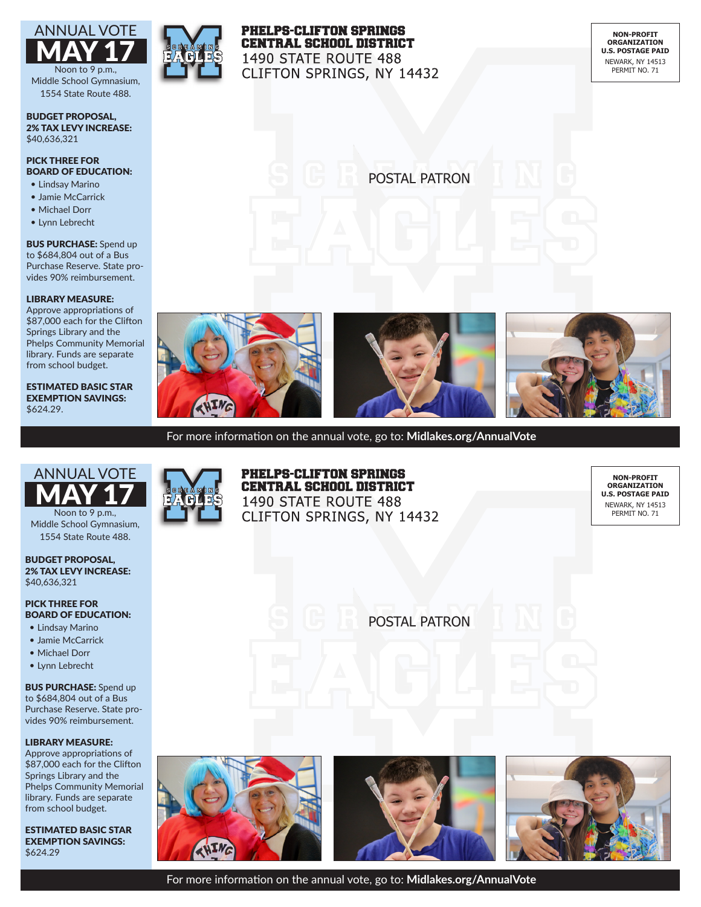

Middle School Gymnasium, 1554 State Route 488.

#### BUDGET PROPOSAL, 2% TAX LEVY INCREASE: \$40,636,321

# PICK THREE FOR BOARD OF EDUCATION:

- Lindsay Marino
- Jamie McCarrick
- Michael Dorr
- Lynn Lebrecht

## BUS PURCHASE: Spend up to \$684,804 out of a Bus Purchase Reserve. State provides 90% reimbursement.

# LIBRARY MEASURE:

Approve appropriations of \$87,000 each for the Clifton Springs Library and the Phelps Community Memorial library. Funds are separate from school budget.

ESTIMATED BASIC STAR EXEMPTION SAVINGS: \$624.29.



# **PHELPS-CLIFTON SPRINGS CENTRAL SCHOOL DISTRICT** 1490 STATE ROUTE 488 CLIFTON SPRINGS, NY 14432

**NON-PROFIT ORGANIZATION U.S. POSTAGE PAID** NEWARK, NY 14513 PERMIT NO. 71

POSTAL PATRON

lsldkfjldskfjsdlkfjlksd-







For more information on the annual vote, go to: **Midlakes.org/AnnualVote**



Noon to 9 p.m., Middle School Gymnasium, 1554 State Route 488.

#### BUDGET PROPOSAL, 2% TAX LEVY INCREASE: \$40,636,321

## PICK THREE FOR BOARD OF EDUCATION:

- Lindsay Marino
- Jamie McCarrick
- Michael Dorr
- Lynn Lebrecht

# **BUS PURCHASE:** Spend up to \$684,804 out of a Bus Purchase Reserve. State pro-

vides 90% reimbursement.

# LIBRARY MEASURE:

Approve appropriations of \$87,000 each for the Clifton Springs Library and the Phelps Community Memorial library. Funds are separate from school budget.

ESTIMATED BASIC STAR EXEMPTION SAVINGS: \$624.29



# **PHELPS-CLIFTON SPRINGS CENTRAL SCHOOL DISTRICT** 1490 STATE ROUTE 488 **CLIFTON SPRINGS, NY 14432**

**NON-PROFIT ORGANIZATION U.S. POSTAGE PAID** NEWARK, NY 14513 PERMIT NO. 71

POSTAL PATRON

lsldkfjldskfjsdlkfjlksd-